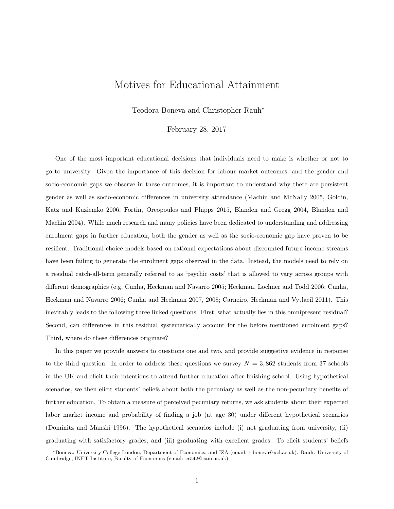## Motives for Educational Attainment

Teodora Boneva and Christopher Rauh<sup>∗</sup>

February 28, 2017

One of the most important educational decisions that individuals need to make is whether or not to go to university. Given the importance of this decision for labour market outcomes, and the gender and socio-economic gaps we observe in these outcomes, it is important to understand why there are persistent gender as well as socio-economic differences in university attendance (Machin and McNally 2005, Goldin, Katz and Kuziemko 2006, Fortin, Oreopoulos and Phipps 2015, Blanden and Gregg 2004, Blanden and Machin 2004). While much research and many policies have been dedicated to understanding and addressing enrolment gaps in further education, both the gender as well as the socio-economic gap have proven to be resilient. Traditional choice models based on rational expectations about discounted future income streams have been failing to generate the enrolment gaps observed in the data. Instead, the models need to rely on a residual catch-all-term generally referred to as 'psychic costs' that is allowed to vary across groups with different demographics (e.g. Cunha, Heckman and Navarro 2005; Heckman, Lochner and Todd 2006; Cunha, Heckman and Navarro 2006; Cunha and Heckman 2007, 2008; Carneiro, Heckman and Vytlacil 2011). This inevitably leads to the following three linked questions. First, what actually lies in this omnipresent residual? Second, can differences in this residual systematically account for the before mentioned enrolment gaps? Third, where do these differences originate?

In this paper we provide answers to questions one and two, and provide suggestive evidence in response to the third question. In order to address these questions we survey  $N = 3,862$  students from 37 schools in the UK and elicit their intentions to attend further education after finishing school. Using hypothetical scenarios, we then elicit students' beliefs about both the pecuniary as well as the non-pecuniary benefits of further education. To obtain a measure of perceived pecuniary returns, we ask students about their expected labor market income and probability of finding a job (at age 30) under different hypothetical scenarios (Dominitz and Manski 1996). The hypothetical scenarios include (i) not graduating from university, (ii) graduating with satisfactory grades, and (iii) graduating with excellent grades. To elicit students' beliefs

<sup>∗</sup>Boneva: University College London, Department of Economics, and IZA (email: t.boneva@ucl.ac.uk). Rauh: University of Cambridge, INET Institute, Faculty of Economics (email: cr542@cam.ac.uk).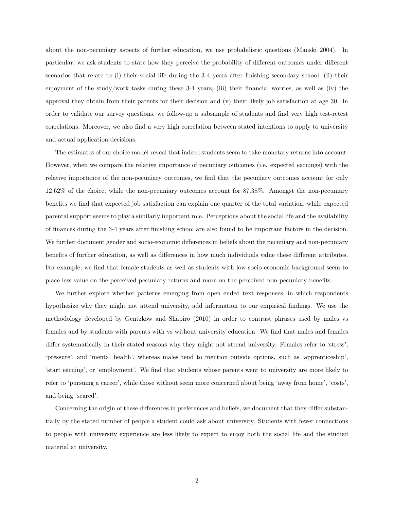about the non-pecuniary aspects of further education, we use probabilistic questions (Manski 2004). In particular, we ask students to state how they perceive the probability of different outcomes under different scenarios that relate to (i) their social life during the 3-4 years after finishing secondary school, (ii) their enjoyment of the study/work tasks during these 3-4 years, (iii) their financial worries, as well as (iv) the approval they obtain from their parents for their decision and (v) their likely job satisfaction at age 30. In order to validate our survey questions, we follow-up a subsample of students and find very high test-retest correlations. Moreover, we also find a very high correlation between stated intentions to apply to university and actual application decisions.

The estimates of our choice model reveal that indeed students seem to take monetary returns into account. However, when we compare the relative importance of pecuniary outcomes (i.e. expected earnings) with the relative importance of the non-pecuniary outcomes, we find that the pecuniary outcomes account for only 12.62% of the choice, while the non-pecuniary outcomes account for 87.38%. Amongst the non-pecuniary benefits we find that expected job satisfaction can explain one quarter of the total variation, while expected parental support seems to play a similarly important role. Perceptions about the social life and the availability of finances during the 3-4 years after finishing school are also found to be important factors in the decision. We further document gender and socio-economic differences in beliefs about the pecuniary and non-pecuniary benefits of further education, as well as differences in how much individuals value these different attributes. For example, we find that female students as well as students with low socio-economic background seem to place less value on the perceived pecuniary returns and more on the perceived non-pecuniary benefits.

We further explore whether patterns emerging from open ended text responses, in which respondents hypothesize why they might not attend university, add information to our empirical findings. We use the methodology developed by Gentzkow and Shapiro (2010) in order to contrast phrases used by males vs females and by students with parents with vs without university education. We find that males and females differ systematically in their stated reasons why they might not attend university. Females refer to 'stress', 'pressure', and 'mental health', whereas males tend to mention outside options, such as 'apprenticeship', 'start earning', or 'employment'. We find that students whose parents went to university are more likely to refer to 'pursuing a career', while those without seem more concerned about being 'away from home', 'costs', and being 'scared'.

Concerning the origin of these differences in preferences and beliefs, we document that they differ substantially by the stated number of people a student could ask about university. Students with fewer connections to people with university experience are less likely to expect to enjoy both the social life and the studied material at university.